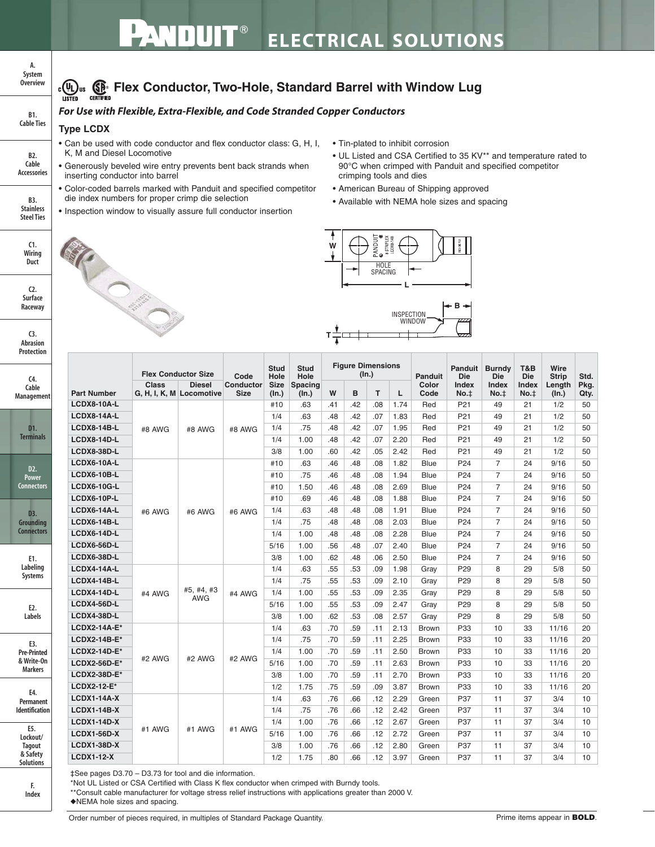## **ELECTRICAL SOLUTIONS**

### **FLO**US **SEP** Flex Conductor, Two-Hole, Standard Barrel with Window Lug

### *For Use with Flexible, Extra-Flexible, and Code Stranded Copper Conductors*

#### **Type LCDX**

**B2. Cable Accessories**

**B1. Cable Ties**

**A. System Overview**

**B3. Stainless Steel Ties**

> **C1. Wiring Duct**

**C3. Abrasion Protection**

**C2. Surface Raceway**

**C4. Cable Managemen** 

> **D1. Terminals**

**D2. Power Connectors**

**D3. Grounding Connectors**

> **E1. Labeling Systems**

> > **E2. Labels**

**E3. Pre-Printed & Write-On Markers**

> **F. Index**

**E5. Lockout/ Tagout & Safety Solutions**

**E4. Permanent Identification**

- Can be used with code conductor and flex conductor class: G, H, I, K, M and Diesel Locomotive
- Generously beveled wire entry prevents bent back strands when inserting conductor into barrel
- Color-coded barrels marked with Panduit and specified competitor die index numbers for proper crimp die selection
- Inspection window to visually assure full conductor insertion

R Carpenter

- Tin-plated to inhibit corrosion
- UL Listed and CSA Certified to 35 KV\*\* and temperature rated to 90°C when crimped with Panduit and specified competitor crimping tools and dies
- American Bureau of Shipping approved
- Available with NEMA hole sizes and spacing





|                     | <b>Flex Conductor Size</b> |                                           | Code                            | <b>Stud</b><br>Hole  | <b>Stud</b><br>Hole     | <b>Figure Dimensions</b><br>(ln.) |     |     |      | <b>Panduit</b> | Panduit<br><b>Die</b> | <b>Burndy</b><br><b>Die</b> | T&B<br><b>Die</b> | Wire<br><b>Strip</b> | Std.         |
|---------------------|----------------------------|-------------------------------------------|---------------------------------|----------------------|-------------------------|-----------------------------------|-----|-----|------|----------------|-----------------------|-----------------------------|-------------------|----------------------|--------------|
| <b>Part Number</b>  | <b>Class</b>               | <b>Diesel</b><br>G, H, I, K, M Locomotive | <b>Conductor</b><br><b>Size</b> | <b>Size</b><br>(ln.) | <b>Spacing</b><br>(In.) | W                                 | B   | T   | L    | Color<br>Code  | Index<br>No.t         | <b>Index</b><br>No.t        | Index<br>No.t     | Length<br>(In.)      | Pkg.<br>Qty. |
| <b>LCDX8-10A-L</b>  |                            |                                           |                                 | #10                  | .63                     | .41                               | .42 | .08 | 1.74 | Red            | P21                   | 49                          | 21                | 1/2                  | 50           |
| LCDX8-14A-L         |                            |                                           | #8 AWG                          | 1/4                  | .63                     | .48                               | .42 | .07 | 1.83 | Red            | P <sub>21</sub>       | 49                          | 21                | 1/2                  | 50           |
| <b>LCDX8-14B-L</b>  | #8 AWG                     | #8 AWG                                    |                                 | 1/4                  | .75                     | .48                               | .42 | .07 | 1.95 | Red            | P21                   | 49                          | 21                | 1/2                  | 50           |
| <b>LCDX8-14D-L</b>  |                            |                                           |                                 | 1/4                  | 1.00                    | .48                               | .42 | .07 | 2.20 | Red            | P21                   | 49                          | 21                | 1/2                  | 50           |
| <b>LCDX8-38D-L</b>  |                            |                                           |                                 | 3/8                  | 1.00                    | .60                               | .42 | .05 | 2.42 | Red            | P <sub>21</sub>       | 49                          | 21                | 1/2                  | 50           |
| LCDX6-10A-L         |                            | #6 AWG                                    | #6 AWG                          | #10                  | .63                     | .46                               | .48 | .08 | 1.82 | Blue           | P <sub>24</sub>       | $\overline{7}$              | 24                | 9/16                 | 50           |
| LCDX6-10B-L         |                            |                                           |                                 | #10                  | .75                     | .46                               | .48 | .08 | 1.94 | <b>Blue</b>    | P <sub>24</sub>       | $\overline{7}$              | 24                | 9/16                 | 50           |
| <b>LCDX6-10G-L</b>  | #6 AWG                     |                                           |                                 | #10                  | 1.50                    | .46                               | .48 | .08 | 2.69 | Blue           | P <sub>24</sub>       | $\overline{7}$              | 24                | 9/16                 | 50           |
| LCDX6-10P-L         |                            |                                           |                                 | #10                  | .69                     | .46                               | .48 | .08 | 1.88 | <b>Blue</b>    | P <sub>24</sub>       | $\overline{7}$              | 24                | 9/16                 | 50           |
| <b>LCDX6-14A-L</b>  |                            |                                           |                                 | 1/4                  | .63                     | .48                               | .48 | .08 | 1.91 | Blue           | P <sub>24</sub>       | $\overline{7}$              | 24                | 9/16                 | 50           |
| <b>LCDX6-14B-L</b>  |                            |                                           |                                 | 1/4                  | .75                     | .48                               | .48 | .08 | 2.03 | Blue           | P <sub>24</sub>       | $\overline{7}$              | 24                | 9/16                 | 50           |
| LCDX6-14D-L         |                            |                                           |                                 | 1/4                  | 1.00                    | .48                               | .48 | .08 | 2.28 | <b>Blue</b>    | P <sub>24</sub>       | $\overline{7}$              | 24                | 9/16                 | 50           |
| LCDX6-56D-L         |                            |                                           |                                 | 5/16                 | 1.00                    | .56                               | .48 | .07 | 2.40 | <b>Blue</b>    | P <sub>24</sub>       | $\overline{7}$              | 24                | 9/16                 | 50           |
| <b>LCDX6-38D-L</b>  |                            |                                           |                                 | 3/8                  | 1.00                    | .62                               | .48 | .06 | 2.50 | <b>Blue</b>    | P <sub>24</sub>       | $\overline{7}$              | 24                | 9/16                 | 50           |
| <b>LCDX4-14A-L</b>  |                            | #5, #4, #3<br><b>AWG</b>                  | #4 AWG                          | 1/4                  | .63                     | .55                               | .53 | .09 | 1.98 | Gray           | P <sub>29</sub>       | 8                           | 29                | 5/8                  | 50           |
| <b>LCDX4-14B-L</b>  | #4 AWG                     |                                           |                                 | 1/4                  | .75                     | .55                               | .53 | .09 | 2.10 | Gray           | P <sub>29</sub>       | 8                           | 29                | 5/8                  | 50           |
| <b>LCDX4-14D-L</b>  |                            |                                           |                                 | 1/4                  | 1.00                    | .55                               | .53 | .09 | 2.35 | Grav           | P <sub>29</sub>       | 8                           | 29                | 5/8                  | 50           |
| <b>LCDX4-56D-L</b>  |                            |                                           |                                 | 5/16                 | 1.00                    | .55                               | .53 | .09 | 2.47 | Grav           | P <sub>29</sub>       | 8                           | 29                | 5/8                  | 50           |
| <b>LCDX4-38D-L</b>  |                            |                                           |                                 | 3/8                  | 1.00                    | .62                               | .53 | .08 | 2.57 | Grav           | P <sub>29</sub>       | 8                           | 29                | 5/8                  | 50           |
| $LCDX2-14A-E*$      |                            | #2 AWG                                    | #2 AWG                          | 1/4                  | .63                     | .70                               | .59 | .11 | 2.13 | <b>Brown</b>   | P33                   | 10                          | 33                | 11/16                | 20           |
| $LCDX2-14B-E*$      |                            |                                           |                                 | 1/4                  | .75                     | .70                               | .59 | .11 | 2.25 | <b>Brown</b>   | P33                   | 10                          | 33                | 11/16                | 20           |
| <b>LCDX2-14D-E*</b> |                            |                                           |                                 | 1/4                  | 1.00                    | .70                               | .59 | .11 | 2.50 | <b>Brown</b>   | P33                   | 10                          | 33                | 11/16                | 20           |
| <b>LCDX2-56D-E*</b> | #2 AWG                     |                                           |                                 | 5/16                 | 1.00                    | .70                               | .59 | .11 | 2.63 | <b>Brown</b>   | P33                   | 10                          | 33                | 11/16                | 20           |
| <b>LCDX2-38D-E*</b> |                            |                                           |                                 | 3/8                  | 1.00                    | .70                               | .59 | .11 | 2.70 | <b>Brown</b>   | P33                   | 10                          | 33                | 11/16                | 20           |
| LCDX2-12-E*         |                            |                                           |                                 | 1/2                  | 1.75                    | .75                               | .59 | .09 | 3.87 | <b>Brown</b>   | P33                   | 10                          | 33                | 11/16                | 20           |
| <b>LCDX1-14A-X</b>  |                            | #1 AWG                                    | #1 AWG                          | 1/4                  | .63                     | .76                               | .66 | .12 | 2.29 | Green          | P37                   | 11                          | 37                | 3/4                  | 10           |
| <b>LCDX1-14B-X</b>  | #1 AWG                     |                                           |                                 | 1/4                  | .75                     | .76                               | .66 | .12 | 2.42 | Green          | P37                   | 11                          | 37                | 3/4                  | 10           |
| <b>LCDX1-14D-X</b>  |                            |                                           |                                 | 1/4                  | 1.00                    | .76                               | .66 | .12 | 2.67 | Green          | P37                   | 11                          | 37                | 3/4                  | 10           |
| <b>LCDX1-56D-X</b>  |                            |                                           |                                 | 5/16                 | 1.00                    | .76                               | .66 | .12 | 2.72 | Green          | P37                   | 11                          | 37                | 3/4                  | 10           |
| <b>LCDX1-38D-X</b>  |                            |                                           |                                 | 3/8                  | 1.00                    | .76                               | .66 | .12 | 2.80 | Green          | P37                   | 11                          | 37                | 3/4                  | 10           |
| <b>LCDX1-12-X</b>   |                            |                                           |                                 | 1/2                  | 1.75                    | .80                               | .66 | .12 | 3.97 | Green          | P37                   | 11                          | 37                | 3/4                  | 10           |

‡See pages D3.70 – D3.73 for tool and die information.

\*Not UL Listed or CSA Certified with Class K flex conductor when crimped with Burndy tools.

\*\*Consult cable manufacturer for voltage stress relief instructions with applications greater than 2000 V.

◆NEMA hole sizes and spacing.